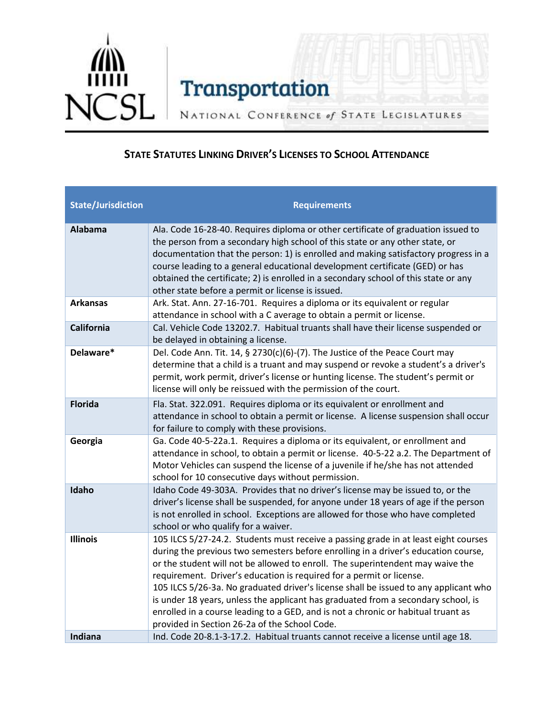

NATIONAL CONFERENCE of STATE LEGISLATURES

## **STATE STATUTES LINKING DRIVER'S LICENSES TO SCHOOL ATTENDANCE**

| <b>State/Jurisdiction</b> | <b>Requirements</b>                                                                                                                                                                                                                                                                                                                                                                                                                                                                                                                                                                                                                                    |
|---------------------------|--------------------------------------------------------------------------------------------------------------------------------------------------------------------------------------------------------------------------------------------------------------------------------------------------------------------------------------------------------------------------------------------------------------------------------------------------------------------------------------------------------------------------------------------------------------------------------------------------------------------------------------------------------|
| <b>Alabama</b>            | Ala. Code 16-28-40. Requires diploma or other certificate of graduation issued to<br>the person from a secondary high school of this state or any other state, or<br>documentation that the person: 1) is enrolled and making satisfactory progress in a<br>course leading to a general educational development certificate (GED) or has<br>obtained the certificate; 2) is enrolled in a secondary school of this state or any<br>other state before a permit or license is issued.                                                                                                                                                                   |
| <b>Arkansas</b>           | Ark. Stat. Ann. 27-16-701. Requires a diploma or its equivalent or regular<br>attendance in school with a C average to obtain a permit or license.                                                                                                                                                                                                                                                                                                                                                                                                                                                                                                     |
| California                | Cal. Vehicle Code 13202.7. Habitual truants shall have their license suspended or<br>be delayed in obtaining a license.                                                                                                                                                                                                                                                                                                                                                                                                                                                                                                                                |
| Delaware*                 | Del. Code Ann. Tit. 14, § 2730(c)(6)-(7). The Justice of the Peace Court may<br>determine that a child is a truant and may suspend or revoke a student's a driver's<br>permit, work permit, driver's license or hunting license. The student's permit or<br>license will only be reissued with the permission of the court.                                                                                                                                                                                                                                                                                                                            |
| <b>Florida</b>            | Fla. Stat. 322.091. Requires diploma or its equivalent or enrollment and<br>attendance in school to obtain a permit or license. A license suspension shall occur<br>for failure to comply with these provisions.                                                                                                                                                                                                                                                                                                                                                                                                                                       |
| Georgia                   | Ga. Code 40-5-22a.1. Requires a diploma or its equivalent, or enrollment and<br>attendance in school, to obtain a permit or license. 40-5-22 a.2. The Department of<br>Motor Vehicles can suspend the license of a juvenile if he/she has not attended<br>school for 10 consecutive days without permission.                                                                                                                                                                                                                                                                                                                                           |
| Idaho                     | Idaho Code 49-303A. Provides that no driver's license may be issued to, or the<br>driver's license shall be suspended, for anyone under 18 years of age if the person<br>is not enrolled in school. Exceptions are allowed for those who have completed<br>school or who qualify for a waiver.                                                                                                                                                                                                                                                                                                                                                         |
| <b>Illinois</b>           | 105 ILCS 5/27-24.2. Students must receive a passing grade in at least eight courses<br>during the previous two semesters before enrolling in a driver's education course,<br>or the student will not be allowed to enroll. The superintendent may waive the<br>requirement. Driver's education is required for a permit or license.<br>105 ILCS 5/26-3a. No graduated driver's license shall be issued to any applicant who<br>is under 18 years, unless the applicant has graduated from a secondary school, is<br>enrolled in a course leading to a GED, and is not a chronic or habitual truant as<br>provided in Section 26-2a of the School Code. |
| Indiana                   | Ind. Code 20-8.1-3-17.2. Habitual truants cannot receive a license until age 18.                                                                                                                                                                                                                                                                                                                                                                                                                                                                                                                                                                       |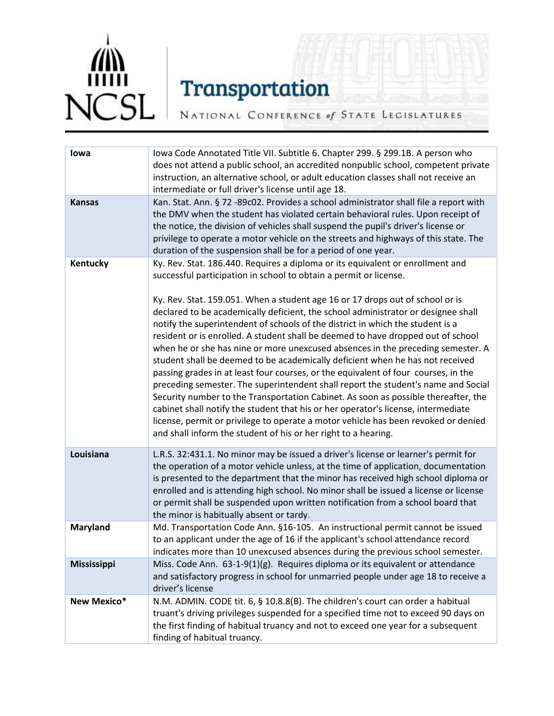

NATIONAL CONFERENCE of STATE LEGISLATURES

| lowa               | Iowa Code Annotated Title VII. Subtitle 6. Chapter 299. § 299.1B. A person who<br>does not attend a public school, an accredited nonpublic school, competent private<br>instruction, an alternative school, or adult education classes shall not receive an<br>intermediate or full driver's license until age 18.                                                                                                                                                                                                                                                                                                                                                                                                                                                                                                                                                                                                                                                                                                                                                                                                                                                                |
|--------------------|-----------------------------------------------------------------------------------------------------------------------------------------------------------------------------------------------------------------------------------------------------------------------------------------------------------------------------------------------------------------------------------------------------------------------------------------------------------------------------------------------------------------------------------------------------------------------------------------------------------------------------------------------------------------------------------------------------------------------------------------------------------------------------------------------------------------------------------------------------------------------------------------------------------------------------------------------------------------------------------------------------------------------------------------------------------------------------------------------------------------------------------------------------------------------------------|
| <b>Kansas</b>      | Kan. Stat. Ann. § 72 -89c02. Provides a school administrator shall file a report with<br>the DMV when the student has violated certain behavioral rules. Upon receipt of<br>the notice, the division of vehicles shall suspend the pupil's driver's license or<br>privilege to operate a motor vehicle on the streets and highways of this state. The<br>duration of the suspension shall be for a period of one year.                                                                                                                                                                                                                                                                                                                                                                                                                                                                                                                                                                                                                                                                                                                                                            |
| Kentucky           | Ky. Rev. Stat. 186.440. Requires a diploma or its equivalent or enrollment and<br>successful participation in school to obtain a permit or license.<br>Ky. Rev. Stat. 159.051. When a student age 16 or 17 drops out of school or is<br>declared to be academically deficient, the school administrator or designee shall<br>notify the superintendent of schools of the district in which the student is a<br>resident or is enrolled. A student shall be deemed to have dropped out of school<br>when he or she has nine or more unexcused absences in the preceding semester. A<br>student shall be deemed to be academically deficient when he has not received<br>passing grades in at least four courses, or the equivalent of four courses, in the<br>preceding semester. The superintendent shall report the student's name and Social<br>Security number to the Transportation Cabinet. As soon as possible thereafter, the<br>cabinet shall notify the student that his or her operator's license, intermediate<br>license, permit or privilege to operate a motor vehicle has been revoked or denied<br>and shall inform the student of his or her right to a hearing. |
| Louisiana          | L.R.S. 32:431.1. No minor may be issued a driver's license or learner's permit for<br>the operation of a motor vehicle unless, at the time of application, documentation<br>is presented to the department that the minor has received high school diploma or<br>enrolled and is attending high school. No minor shall be issued a license or license<br>or permit shall be suspended upon written notification from a school board that<br>the minor is habitually absent or tardy.                                                                                                                                                                                                                                                                                                                                                                                                                                                                                                                                                                                                                                                                                              |
| <b>Maryland</b>    | Md. Transportation Code Ann. §16-105. An instructional permit cannot be issued<br>to an applicant under the age of 16 if the applicant's school attendance record<br>indicates more than 10 unexcused absences during the previous school semester.                                                                                                                                                                                                                                                                                                                                                                                                                                                                                                                                                                                                                                                                                                                                                                                                                                                                                                                               |
| <b>Mississippi</b> | Miss. Code Ann. 63-1-9(1)(g). Requires diploma or its equivalent or attendance<br>and satisfactory progress in school for unmarried people under age 18 to receive a<br>driver's license                                                                                                                                                                                                                                                                                                                                                                                                                                                                                                                                                                                                                                                                                                                                                                                                                                                                                                                                                                                          |
| New Mexico*        | N.M. ADMIN. CODE tit. 6, § 10.8.8(B). The children's court can order a habitual<br>truant's driving privileges suspended for a specified time not to exceed 90 days on<br>the first finding of habitual truancy and not to exceed one year for a subsequent<br>finding of habitual truancy.                                                                                                                                                                                                                                                                                                                                                                                                                                                                                                                                                                                                                                                                                                                                                                                                                                                                                       |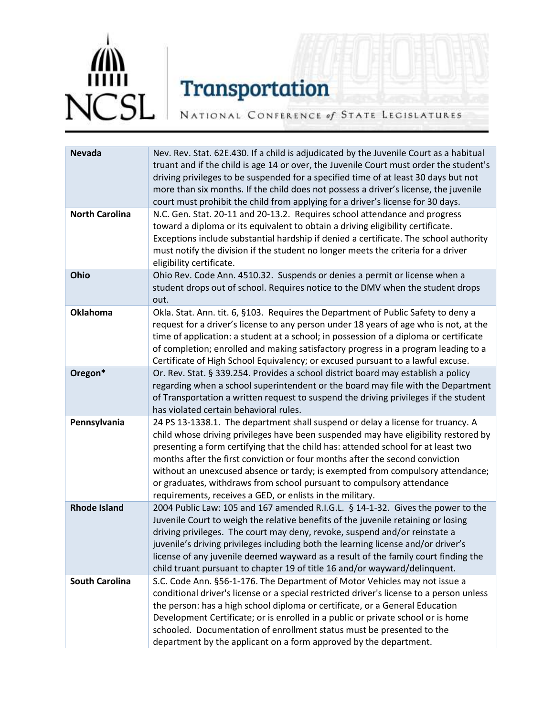

NATIONAL CONFERENCE of STATE LEGISLATURES

| <b>Nevada</b>         | Nev. Rev. Stat. 62E.430. If a child is adjudicated by the Juvenile Court as a habitual<br>truant and if the child is age 14 or over, the Juvenile Court must order the student's<br>driving privileges to be suspended for a specified time of at least 30 days but not<br>more than six months. If the child does not possess a driver's license, the juvenile<br>court must prohibit the child from applying for a driver's license for 30 days.                                                                                                                  |
|-----------------------|---------------------------------------------------------------------------------------------------------------------------------------------------------------------------------------------------------------------------------------------------------------------------------------------------------------------------------------------------------------------------------------------------------------------------------------------------------------------------------------------------------------------------------------------------------------------|
| <b>North Carolina</b> | N.C. Gen. Stat. 20-11 and 20-13.2. Requires school attendance and progress<br>toward a diploma or its equivalent to obtain a driving eligibility certificate.<br>Exceptions include substantial hardship if denied a certificate. The school authority<br>must notify the division if the student no longer meets the criteria for a driver<br>eligibility certificate.                                                                                                                                                                                             |
| Ohio                  | Ohio Rev. Code Ann. 4510.32. Suspends or denies a permit or license when a<br>student drops out of school. Requires notice to the DMV when the student drops<br>out.                                                                                                                                                                                                                                                                                                                                                                                                |
| <b>Oklahoma</b>       | Okla. Stat. Ann. tit. 6, §103. Requires the Department of Public Safety to deny a<br>request for a driver's license to any person under 18 years of age who is not, at the<br>time of application: a student at a school; in possession of a diploma or certificate<br>of completion; enrolled and making satisfactory progress in a program leading to a<br>Certificate of High School Equivalency; or excused pursuant to a lawful excuse.                                                                                                                        |
| Oregon*               | Or. Rev. Stat. § 339.254. Provides a school district board may establish a policy<br>regarding when a school superintendent or the board may file with the Department<br>of Transportation a written request to suspend the driving privileges if the student<br>has violated certain behavioral rules.                                                                                                                                                                                                                                                             |
| Pennsylvania          | 24 PS 13-1338.1. The department shall suspend or delay a license for truancy. A<br>child whose driving privileges have been suspended may have eligibility restored by<br>presenting a form certifying that the child has: attended school for at least two<br>months after the first conviction or four months after the second conviction<br>without an unexcused absence or tardy; is exempted from compulsory attendance;<br>or graduates, withdraws from school pursuant to compulsory attendance<br>requirements, receives a GED, or enlists in the military. |
| <b>Rhode Island</b>   | 2004 Public Law: 105 and 167 amended R.I.G.L. § 14-1-32. Gives the power to the<br>Juvenile Court to weigh the relative benefits of the juvenile retaining or losing<br>driving privileges. The court may deny, revoke, suspend and/or reinstate a<br>juvenile's driving privileges including both the learning license and/or driver's<br>license of any juvenile deemed wayward as a result of the family court finding the<br>child truant pursuant to chapter 19 of title 16 and/or wayward/delinquent.                                                         |
| <b>South Carolina</b> | S.C. Code Ann. §56-1-176. The Department of Motor Vehicles may not issue a<br>conditional driver's license or a special restricted driver's license to a person unless<br>the person: has a high school diploma or certificate, or a General Education<br>Development Certificate; or is enrolled in a public or private school or is home<br>schooled. Documentation of enrollment status must be presented to the<br>department by the applicant on a form approved by the department.                                                                            |